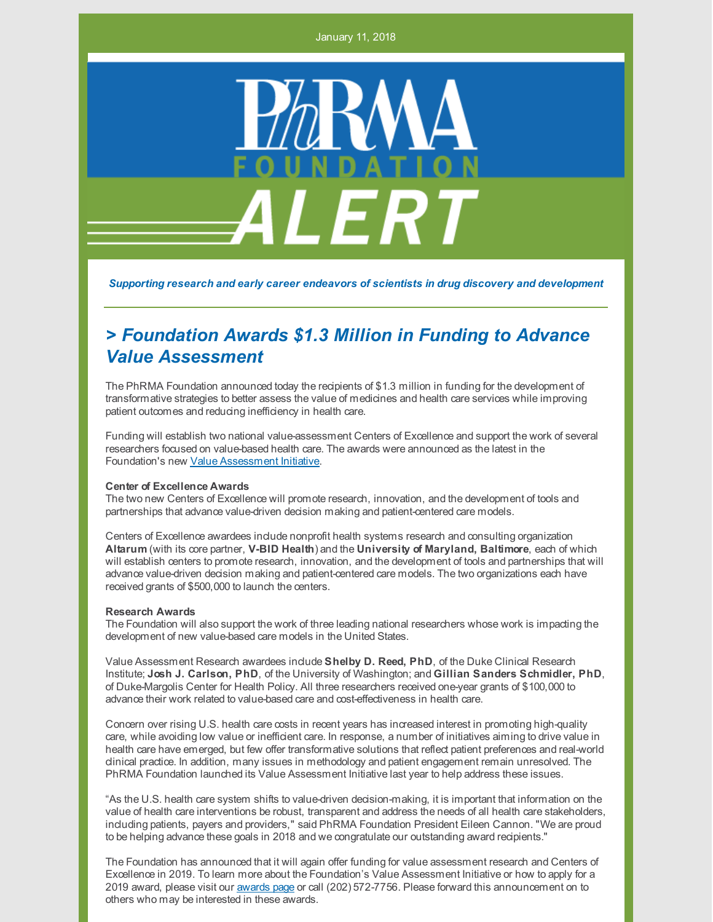January 11, 2018



*Supporting research and early career endeavors of scientists in drug discovery and development*

## *> Foundation Awards \$1.3 Million in Funding to Advance Value Assessment*

The PhRMA Foundation announced today the recipients of \$1.3 million in funding for the development of transformative strategies to better assess the value of medicines and health care services while improving patient outcomes and reducing inefficiency in health care.

Funding will establish two national value-assessment Centers of Excellence and support the work of several researchers focused on value-based health care. The awards were announced as the latest in the Foundation's new Value [Assessment](http://www.phrmafoundation.org/2018-awards/value-assessment-initiative/) Initiative.

## **Center of Excellence Awards**

The two new Centers of Excellence will promote research, innovation, and the development of tools and partnerships that advance value-driven decision making and patient-centered care models.

Centers of Excellence awardees include nonprofit health systems research and consulting organization **Altarum** (with its core partner, **V-BID Health**) and the **University of Maryland, Baltimore**, each of which will establish centers to promote research, innovation, and the development of tools and partnerships that will advance value-driven decision making and patient-centered care models. The two organizations each have received grants of \$500,000 to launch the centers.

## **Research Awards**

The Foundation will also support the work of three leading national researchers whose work is impacting the development of new value-based care models in the United States.

Value Assessment Research awardees include **Shelby D. Reed, PhD**, of the Duke Clinical Research Institute; **Josh J. Carlson, PhD**, of the University of Washington; and **Gillian Sanders Schmidler, PhD**, of Duke-Margolis Center for Health Policy. All three researchers received one-year grants of \$100,000 to advance their work related to value-based care and cost-effectiveness in health care.

Concern over rising U.S. health care costs in recent years has increased interest in promoting high-quality care, while avoiding low value or inefficient care. In response, a number of initiatives aiming to drive value in health care have emerged, but few offer transformative solutions that reflect patient preferences and real-world clinical practice. In addition, many issues in methodology and patient engagement remain unresolved. The PhRMA Foundation launched its Value Assessment Initiative last year to help address these issues.

"As the U.S. health care system shifts to value-driven decision-making, it is important that information on the value of health care interventions be robust, transparent and address the needs of all health care stakeholders, including patients, payers and providers," said PhRMA Foundation President Eileen Cannon. "We are proud to be helping advance these goals in 2018 and we congratulate our outstanding award recipients."

The Foundation has announced that it will again offer funding for value assessment research and Centers of Excellence in 2019. To learn more about the Foundation's Value Assessment Initiative or how to apply for a 2019 award, please visit our [awards](http://www.phrmafoundation.org/awards/) page or call (202) 572-7756. Please forward this announcement on to others who may be interested in these awards.